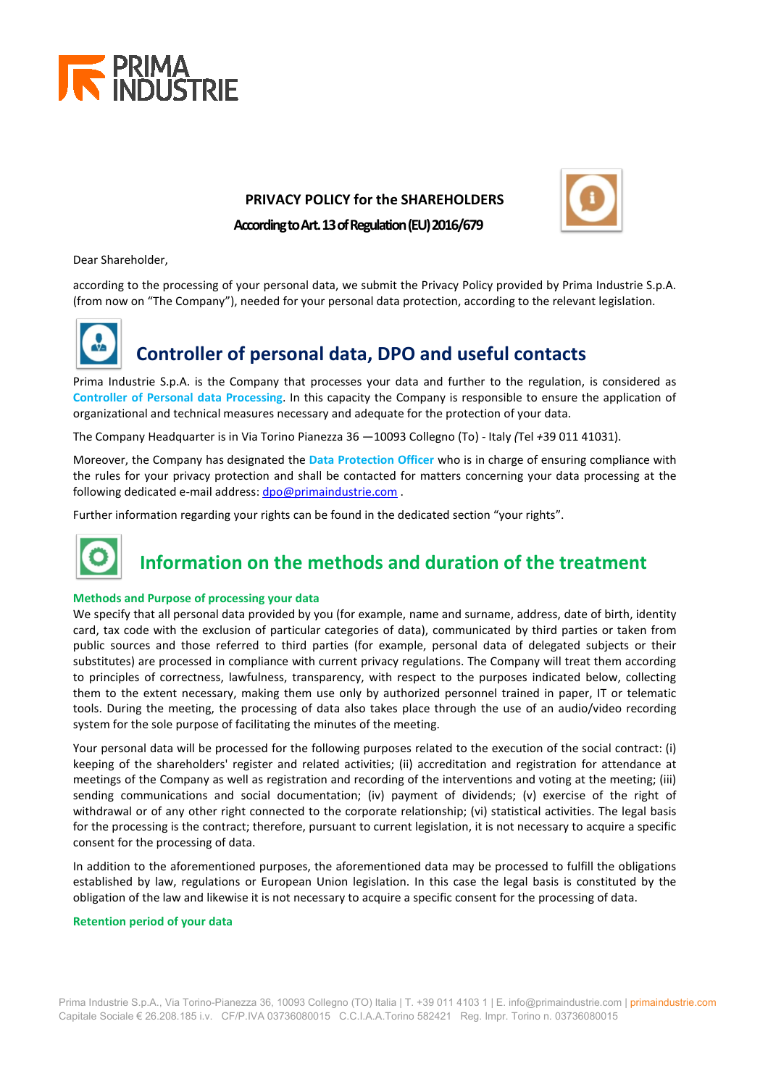

### **PRIVACY POLICY for the SHAREHOLDERS**



**According toArt. 13 of Regulation (EU)2016/679**

Dear Shareholder,

according to the processing of your personal data, we submit the Privacy Policy provided by Prima Industrie S.p.A. (from now on "The Company"), needed for your personal data protection, according to the relevant legislation.



Prima Industrie S.p.A. is the Company that processes your data and further to the regulation, is considered as **Controller of Personal data Processing**. In this capacity the Company is responsible to ensure the application of organizational and technical measures necessary and adequate for the protection of your data.

The Company Headquarter is in Via Torino Pianezza 36 —10093 Collegno (To) - Italy *(*Tel *+*39 011 41031).

Moreover, the Company has designated the **Data Protection Officer** who is in charge of ensuring compliance with the rules for your privacy protection and shall be contacted for matters concerning your data processing at the following dedicated e-mail address[: dpo@primaindustrie.com](mailto:dpo@primaindustrie.com) .

Further information regarding your rights can be found in the dedicated section "your rights".



## **Information on the methods and duration of the treatment**

#### **Methods and Purpose of processing your data**

We specify that all personal data provided by you (for example, name and surname, address, date of birth, identity card, tax code with the exclusion of particular categories of data), communicated by third parties or taken from public sources and those referred to third parties (for example, personal data of delegated subjects or their substitutes) are processed in compliance with current privacy regulations. The Company will treat them according to principles of correctness, lawfulness, transparency, with respect to the purposes indicated below, collecting them to the extent necessary, making them use only by authorized personnel trained in paper, IT or telematic tools. During the meeting, the processing of data also takes place through the use of an audio/video recording system for the sole purpose of facilitating the minutes of the meeting.

Your personal data will be processed for the following purposes related to the execution of the social contract: (i) keeping of the shareholders' register and related activities; (ii) accreditation and registration for attendance at meetings of the Company as well as registration and recording of the interventions and voting at the meeting; (iii) sending communications and social documentation; (iv) payment of dividends; (v) exercise of the right of withdrawal or of any other right connected to the corporate relationship; (vi) statistical activities. The legal basis for the processing is the contract; therefore, pursuant to current legislation, it is not necessary to acquire a specific consent for the processing of data.

In addition to the aforementioned purposes, the aforementioned data may be processed to fulfill the obligations established by law, regulations or European Union legislation. In this case the legal basis is constituted by the obligation of the law and likewise it is not necessary to acquire a specific consent for the processing of data.

#### **Retention period of your data**